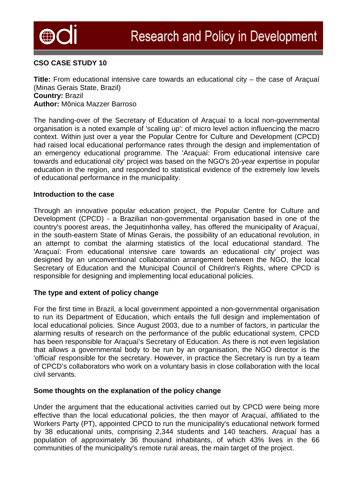

# **CSO CASE STUDY 10**

**Title:** From educational intensive care towards an educational city – the case of Araçuaí (Minas Gerais State, Brazil) **Country:** Brazil **Author:** Mônica Mazzer Barroso

The handing-over of the Secretary of Education of Araçuaí to a local non-governmental organisation is a noted example of 'scaling up': of micro level action influencing the macro context. Within just over a year the Popular Centre for Culture and Development (CPCD) had raised local educational performance rates through the design and implementation of an emergency educational programme. The 'Araçuaí: From educational intensive care towards and educational city' project was based on the NGO's 20-year expertise in popular education in the region, and responded to statistical evidence of the extremely low levels of educational performance in the municipality.

### **Introduction to the case**

Through an innovative popular education project, the Popular Centre for Culture and Development (CPCD) - a Brazilian non-governmental organisation based in one of the country's poorest areas, the Jequitinhonha valley, has offered the municipality of Araçuaí, in the south-eastern State of Minas Gerais, the possibility of an educational revolution, in an attempt to combat the alarming statistics of the local educational standard. The 'Araçuaí: From educational intensive care towards an educational city' project was designed by an unconventional collaboration arrangement between the NGO, the local Secretary of Education and the Municipal Council of Children's Rights, where CPCD is responsible for designing and implementing local educational policies.

## **The type and extent of policy change**

For the first time in Brazil, a local government appointed a non-governmental organisation to run its Department of Education, which entails the full design and implementation of local educational policies. Since August 2003, due to a number of factors, in particular the alarming results of research on the performance of the public educational system, CPCD has been responsible for Araçuaí's Secretary of Education. As there is not even legislation that allows a governmental body to be run by an organisation, the NGO director is the 'official' responsible for the secretary. However, in practice the Secretary is run by a team of CPCD's collaborators who work on a voluntary basis in close collaboration with the local civil servants.

## **Some thoughts on the explanation of the policy change**

Under the argument that the educational activities carried out by CPCD were being more effective than the local educational policies, the then mayor of Araçuaí, affiliated to the Workers Party (PT), appointed CPCD to run the municipality's educational network formed by 38 educational units, comprising 2,344 students and 140 teachers. Araçuaí has a population of approximately 36 thousand inhabitants, of which 43% lives in the 66 communities of the municipality's remote rural areas, the main target of the project.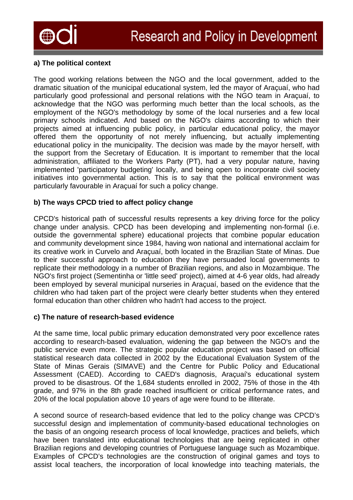

# **a) The political context**

The good working relations between the NGO and the local government, added to the dramatic situation of the municipal educational system, led the mayor of Araçuaí, who had particularly good professional and personal relations with the NGO team in Araçuaí, to acknowledge that the NGO was performing much better than the local schools, as the employment of the NGO's methodology by some of the local nurseries and a few local primary schools indicated. And based on the NGO's claims according to which their projects aimed at influencing public policy, in particular educational policy, the mayor offered them the opportunity of not merely influencing, but actually implementing educational policy in the municipality. The decision was made by the mayor herself, with the support from the Secretary of Education. It is important to remember that the local administration, affiliated to the Workers Party (PT), had a very popular nature, having implemented 'participatory budgeting' locally, and being open to incorporate civil society initiatives into governmental action. This is to say that the political environment was particularly favourable in Araçuaí for such a policy change.

## **b) The ways CPCD tried to affect policy change**

CPCD's historical path of successful results represents a key driving force for the policy change under analysis. CPCD has been developing and implementing non-formal (i.e. outside the governmental sphere) educational projects that combine popular education and community development since 1984, having won national and international acclaim for its creative work in Curvelo and Araçuaí, both located in the Brazilian State of Minas. Due to their successful approach to education they have persuaded local governments to replicate their methodology in a number of Brazilian regions, and also in Mozambique. The NGO's first project (Sementinha or 'little seed' project), aimed at 4-6 year olds, had already been employed by several municipal nurseries in Araçuaí, based on the evidence that the children who had taken part of the project were clearly better students when they entered formal education than other children who hadn't had access to the project.

## **c) The nature of research-based evidence**

At the same time, local public primary education demonstrated very poor excellence rates according to research-based evaluation, widening the gap between the NGO's and the public service even more. The strategic popular education project was based on official statistical research data collected in 2002 by the Educational Evaluation System of the State of Minas Gerais (SIMAVE) and the Centre for Public Policy and Educational Assessment (CAED). According to CAED's diagnosis, Araçuaí's educational system proved to be disastrous. Of the 1,684 students enrolled in 2002, 75% of those in the 4th grade, and 97% in the 8th grade reached insufficient or critical performance rates, and 20% of the local population above 10 years of age were found to be illiterate.

A second source of research-based evidence that led to the policy change was CPCD's successful design and implementation of community-based educational technologies on the basis of an ongoing research process of local knowledge, practices and beliefs, which have been translated into educational technologies that are being replicated in other Brazilian regions and developing countries of Portuguese language such as Mozambique. Examples of CPCD's technologies are the construction of original games and toys to assist local teachers, the incorporation of local knowledge into teaching materials, the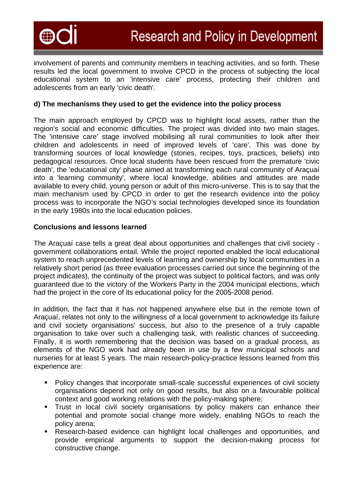

involvement of parents and community members in teaching activities, and so forth. These results led the local government to involve CPCD in the process of subjecting the local educational system to an 'intensive care' process, protecting their children and adolescents from an early 'civic death'.

## **d) The mechanisms they used to get the evidence into the policy process**

The main approach employed by CPCD was to highlight local assets, rather than the region's social and economic difficulties. The project was divided into two main stages. The 'intensive care' stage involved mobilising all rural communities to look after their children and adolescents in need of improved levels of 'care'. This was done by transforming sources of local knowledge (stories, recipes, toys, practices, beliefs) into pedagogical resources. Once local students have been rescued from the premature 'civic death', the 'educational city' phase aimed at transforming each rural community of Araçuaí into a 'learning community', where local knowledge, abilities and attitudes are made available to every child, young person or adult of this micro-universe. This is to say that the main mechanism used by CPCD in order to get the research evidence into the policy process was to incorporate the NGO's social technologies developed since its foundation in the early 1980s into the local education policies.

### **Conclusions and lessons learned**

The Araçuaí case tells a great deal about opportunities and challenges that civil society government collaborations entail. While the project reported enabled the local educational system to reach unprecedented levels of learning and ownership by local communities in a relatively short period (as three evaluation processes carried out since the beginning of the project indicates), the continuity of the project was subject to political factors, and was only guaranteed due to the victory of the Workers Party in the 2004 municipal elections, which had the project in the core of its educational policy for the 2005-2008 period.

In addition, the fact that it has not happened anywhere else but in the remote town of Araçuaí, relates not only to the willingness of a local government to acknowledge its failure and civil society organisations' success, but also to the presence of a truly capable organisation to take over such a challenging task, with realistic chances of succeeding. Finally, it is worth remembering that the decision was based on a gradual process, as elements of the NGO work had already been in use by a few municipal schools and nurseries for at least 5 years. The main research-policy-practice lessons learned from this experience are:

- Policy changes that incorporate small-scale successful experiences of civil society organisations depend not only on good results, but also on a favourable political context and good working relations with the policy-making sphere;
- **Trust in local civil society organisations by policy makers can enhance their** potential and promote social change more widely, enabling NGOs to reach the policy arena;
- Research-based evidence can highlight local challenges and opportunities, and provide empirical arguments to support the decision-making process for constructive change.